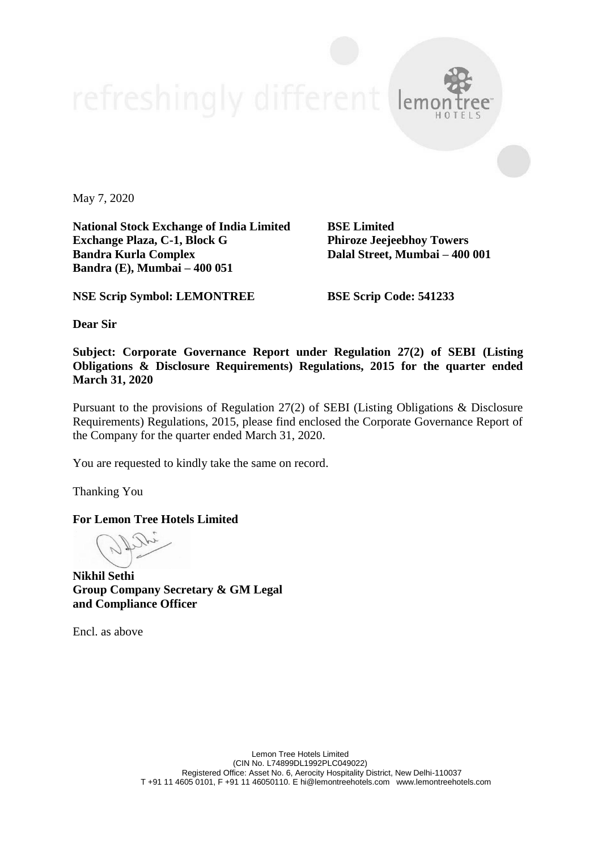May 7, 2020

**National Stock Exchange of India Limited BSE Limited Exchange Plaza, C-1, Block G Phiroze Jeejeebhoy Towers Bandra Kurla Complex Dalal Street, Mumbai – 400 001 Bandra (E), Mumbai – 400 051**

**NSE Scrip Symbol: LEMONTREE BSE Scrip Code: 541233**

**Dear Sir**

**Subject: Corporate Governance Report under Regulation 27(2) of SEBI (Listing Obligations & Disclosure Requirements) Regulations, 2015 for the quarter ended March 31, 2020**

Pursuant to the provisions of Regulation 27(2) of SEBI (Listing Obligations & Disclosure Requirements) Regulations, 2015, please find enclosed the Corporate Governance Report of the Company for the quarter ended March 31, 2020.

You are requested to kindly take the same on record.

Thanking You

**For Lemon Tree Hotels Limited**

**Nikhil Sethi Group Company Secretary & GM Legal and Compliance Officer**

Encl. as above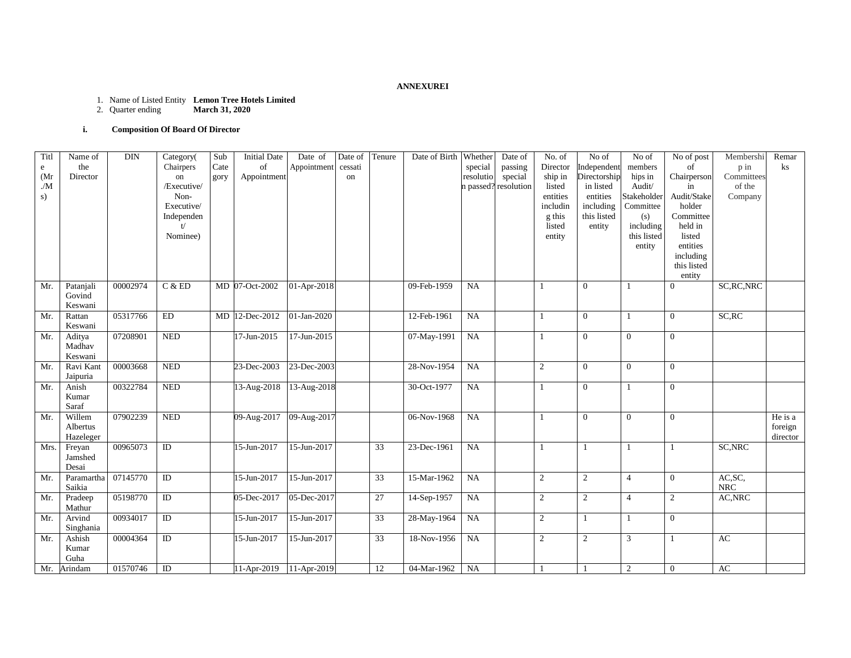#### **ANNEXUREI**

#### 1. Name of Listed Entity **Lemon Tree Hotels Limited**

2. Quarter ending **March 31, 2020**

## **i. Composition Of Board Of Director**

| Titl                        | Name of         | $\rm{DIN}$ | Category(                  | Sub  | <b>Initial Date</b>     | Date of     | Date of | Tenure          | Date of Birth | Whether   | Date of              | No. of         | No of          | No of            | No of post               | Membershi   | Remar          |
|-----------------------------|-----------------|------------|----------------------------|------|-------------------------|-------------|---------|-----------------|---------------|-----------|----------------------|----------------|----------------|------------------|--------------------------|-------------|----------------|
| e                           | the             |            | Chairpers                  | Cate | of                      | Appointment | cessati |                 |               | special   | passing              | Director       | Independent    | $\mbox{members}$ | of                       | p in        | $\mathbf{k}$ s |
| (Mr)                        | Director        |            | on                         | gory | Appointment             |             | on      |                 |               | resolutio | special              | ship in        | Directorship   | hips in          | Chairperson              | Committees  |                |
| $\mathcal{M}_{\mathcal{N}}$ |                 |            | /Executive/                |      |                         |             |         |                 |               |           | n passed? resolution | listed         | in listed      | Audit/           | in                       | of the      |                |
| s)                          |                 |            | Non-                       |      |                         |             |         |                 |               |           |                      | entities       | entities       | Stakeholder      | Audit/Stake              | Company     |                |
|                             |                 |            | Executive/                 |      |                         |             |         |                 |               |           |                      | includin       | including      | Committee        | holder                   |             |                |
|                             |                 |            | Independen                 |      |                         |             |         |                 |               |           |                      | g this         | this listed    | (s)              | Committee                |             |                |
|                             |                 |            | t/                         |      |                         |             |         |                 |               |           |                      | listed         | entity         | including        | held in                  |             |                |
|                             |                 |            | Nominee)                   |      |                         |             |         |                 |               |           |                      | entity         |                | this listed      | listed                   |             |                |
|                             |                 |            |                            |      |                         |             |         |                 |               |           |                      |                |                | entity           | entities                 |             |                |
|                             |                 |            |                            |      |                         |             |         |                 |               |           |                      |                |                |                  | including                |             |                |
|                             |                 |            |                            |      |                         |             |         |                 |               |           |                      |                |                |                  | this listed              |             |                |
| Mr.                         | Patanjali       | 00002974   | C & ED                     |      | MD 07-Oct-2002          | 01-Apr-2018 |         |                 | 09-Feb-1959   | NA        |                      |                | $\overline{0}$ | $\overline{1}$   | entity<br>$\overline{0}$ | SC, RC, NRC |                |
|                             | Govind          |            |                            |      |                         |             |         |                 |               |           |                      |                |                |                  |                          |             |                |
|                             | Keswani         |            |                            |      |                         |             |         |                 |               |           |                      |                |                |                  |                          |             |                |
| Mr.                         | Rattan          | 05317766   | $\mathop{\rm ED}\nolimits$ |      | MD 12-Dec-2012          | 01-Jan-2020 |         |                 | 12-Feb-1961   | NA        |                      | 1              | $\overline{0}$ | $\overline{1}$   | $\overline{0}$           | SC, RC      |                |
|                             | Keswani         |            |                            |      |                         |             |         |                 |               |           |                      |                |                |                  |                          |             |                |
| Mr.                         | Aditya          | 07208901   | <b>NED</b>                 |      | 17-Jun-2015             | 17-Jun-2015 |         |                 | 07-May-1991   | NA        |                      |                | $\mathbf{0}$   | $\overline{0}$   | $\mathbf{0}$             |             |                |
|                             | Madhav          |            |                            |      |                         |             |         |                 |               |           |                      |                |                |                  |                          |             |                |
|                             | Keswani         |            |                            |      |                         |             |         |                 |               |           |                      |                |                |                  |                          |             |                |
| Mr.                         | Ravi Kant       | 00003668   | <b>NED</b>                 |      | 23-Dec-2003             | 23-Dec-2003 |         |                 | 28-Nov-1954   | NA        |                      | $\overline{2}$ | $\Omega$       | $\overline{0}$   | $\overline{0}$           |             |                |
|                             | Jaipuria        |            |                            |      |                         |             |         |                 |               |           |                      |                |                |                  |                          |             |                |
| Mr.                         | Anish           | 00322784   | <b>NED</b>                 |      | 13-Aug-2018             | 13-Aug-2018 |         |                 | 30-Oct-1977   | NA        |                      |                | $\mathbf{0}$   |                  | $\mathbf{0}$             |             |                |
|                             | Kumar           |            |                            |      |                         |             |         |                 |               |           |                      |                |                |                  |                          |             |                |
| Mr.                         | Saraf<br>Willem | 07902239   | <b>NED</b>                 |      |                         |             |         |                 | 06-Nov-1968   | NA        |                      |                | $\overline{0}$ | $\overline{0}$   | $\overline{0}$           |             | He is a        |
|                             | Albertus        |            |                            |      | 09-Aug-2017 09-Aug-2017 |             |         |                 |               |           |                      | 1              |                |                  |                          |             | foreign        |
|                             | Hazeleger       |            |                            |      |                         |             |         |                 |               |           |                      |                |                |                  |                          |             | director       |
| Mrs.                        | Freyan          | 00965073   | $\overline{D}$             |      | 15-Jun-2017             | 15-Jun-2017 |         | $\overline{33}$ | 23-Dec-1961   | <b>NA</b> |                      |                |                | $\overline{1}$   |                          | SC, NRC     |                |
|                             | Jamshed         |            |                            |      |                         |             |         |                 |               |           |                      |                |                |                  |                          |             |                |
|                             | Desai           |            |                            |      |                         |             |         |                 |               |           |                      |                |                |                  |                          |             |                |
| Mr.                         | Paramartha      | 07145770   | ID                         |      | 15-Jun-2017             | 15-Jun-2017 |         | 33              | 15-Mar-1962   | NA        |                      | $\mathbf{2}$   | 2              | $\overline{4}$   | $\mathbf{0}$             | AC, SC,     |                |
|                             | Saikia          |            |                            |      |                         |             |         |                 |               |           |                      |                |                |                  |                          | ${\rm NRC}$ |                |
| Mr.                         | Pradeep         | 05198770   | ID                         |      | 05-Dec-2017             | 05-Dec-2017 |         | 27              | 14-Sep-1957   | NA        |                      | $\overline{2}$ | 2              | $\overline{4}$   | 2                        | AC, NRC     |                |
|                             | Mathur          |            |                            |      |                         |             |         |                 |               |           |                      |                |                |                  |                          |             |                |
| Mr.                         | Arvind          | 00934017   | $\overline{D}$             |      | 15-Jun-2017             | 15-Jun-2017 |         | 33              | 28-May-1964   | NA        |                      | $\overline{2}$ |                | -1               | $\overline{0}$           |             |                |
|                             | Singhania       |            |                            |      |                         |             |         |                 |               |           |                      |                |                |                  |                          |             |                |
| Mr.                         | Ashish          | 00004364   | $\overline{D}$             |      | 15-Jun-2017             | 15-Jun-2017 |         | 33              | 18-Nov-1956   | NA        |                      | $\overline{c}$ | $\overline{c}$ | 3                | 1                        | AC          |                |
|                             | Kumar           |            |                            |      |                         |             |         |                 |               |           |                      |                |                |                  |                          |             |                |
|                             | Guha            |            |                            |      |                         |             |         |                 |               |           |                      |                |                |                  |                          |             |                |
| Mr.                         | Arindam         | 01570746   | ID                         |      | 11-Apr-2019             | 11-Apr-2019 |         | 12              | 04-Mar-1962   | NA        |                      |                |                | 2                | $\overline{0}$           | AC          |                |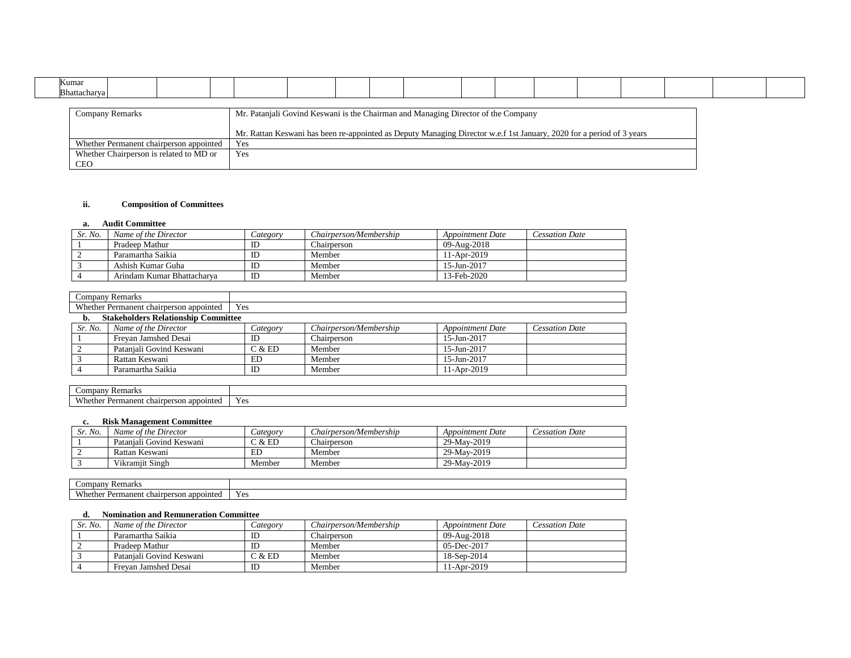| Kumar                                                                                                                |  |  |  |     |  |  |  |  |  |  |  |  |  |  |
|----------------------------------------------------------------------------------------------------------------------|--|--|--|-----|--|--|--|--|--|--|--|--|--|--|
| Bhattacharya                                                                                                         |  |  |  |     |  |  |  |  |  |  |  |  |  |  |
|                                                                                                                      |  |  |  |     |  |  |  |  |  |  |  |  |  |  |
| Mr. Patanjali Govind Keswani is the Chairman and Managing Director of the Company<br>Company Remarks                 |  |  |  |     |  |  |  |  |  |  |  |  |  |  |
|                                                                                                                      |  |  |  |     |  |  |  |  |  |  |  |  |  |  |
| Mr. Rattan Keswani has been re-appointed as Deputy Managing Director w.e.f 1st January, 2020 for a period of 3 years |  |  |  |     |  |  |  |  |  |  |  |  |  |  |
| Whether Permanent chairperson appointed                                                                              |  |  |  | Yes |  |  |  |  |  |  |  |  |  |  |
| Whether Chairperson is related to MD or                                                                              |  |  |  | Yes |  |  |  |  |  |  |  |  |  |  |
| <b>CEO</b>                                                                                                           |  |  |  |     |  |  |  |  |  |  |  |  |  |  |

## **ii. Composition of Committees**

### **a. Audit Committee**

| Sr. No. | Name of the Director       | Category | Chairperson/Membership | <b>Appointment Date</b> | Cessation Date |
|---------|----------------------------|----------|------------------------|-------------------------|----------------|
|         | Pradeen Mathur             | ID       | Chairperson            | 09-Aug-2018             |                |
|         | Paramartha Saikia          | ID       | Member                 | 11-Apr-2019             |                |
|         | Ashish Kumar Guha          |          | Member                 | 15-Jun-2017             |                |
|         | Arindam Kumar Bhattacharva | ID       | Member                 | 13-Feb-2020             |                |

|         | <b>Company Remarks</b>                         |          |                        |                         |                       |  |  |
|---------|------------------------------------------------|----------|------------------------|-------------------------|-----------------------|--|--|
|         | Whether Permanent chairperson appointed<br>Yes |          |                        |                         |                       |  |  |
| b.      | <b>Stakeholders Relationship Committee</b>     |          |                        |                         |                       |  |  |
| Sr. No. | Name of the Director                           | Category | Chairperson/Membership | <b>Appointment Date</b> | <b>Cessation Date</b> |  |  |
|         | Frevan Jamshed Desai                           | ID       | Chairperson            | 15-Jun-2017             |                       |  |  |
|         | Pataniali Govind Keswani                       | C & E D  | Member                 | 15-Jun-2017             |                       |  |  |
|         | Rattan Keswani                                 | ED       | Member                 | 15-Jun-2017             |                       |  |  |
|         | Paramartha Saikia                              | ID       | Member                 | 11-Apr-2019             |                       |  |  |

| * Remark.<br>$\mathcal{L}$ ompany                                          |                       |
|----------------------------------------------------------------------------|-----------------------|
| <b>XX71</b><br>rmanent<br>appointed<br>٧h<br>:the<br>chairperson<br>.<br>. | $V \alpha c$<br>1 U.S |

### **c. Risk Management Committee**

| Sr. No. | Name of the Director     | $\angle$ ategory | Chairperson/Membership | Appointment Date | Cessation Date |
|---------|--------------------------|------------------|------------------------|------------------|----------------|
|         | Pataniali Govind Keswani | C & ED           | Chairperson            | 29-May-2019      |                |
|         | Rattan Keswani           | ED               | Member                 | 29-May-2019      |                |
|         | Vikramjit Singh          | Member           | Member                 | 29-May-2019      |                |

| _ompar<br><b>Remarks</b>                                                          |                |
|-----------------------------------------------------------------------------------|----------------|
| X X/L<br>. appointed<br>Permanen<br>.iether<br><sup>+</sup> chairperson<br>.<br>. | $V_{AC}$<br>エレ |

## **d. Nomination and Remuneration Committee**

| Sr. No. | Name of the Director     | Category | Chairperson/Membership | <i>Appointment Date</i> | <b>Cessation Date</b> |
|---------|--------------------------|----------|------------------------|-------------------------|-----------------------|
|         | Paramartha Saikia        | ID       | Chairperson            | 09-Aug-2018             |                       |
|         | Pradeen Mathur           |          | Member                 | $05$ -Dec-2017          |                       |
|         | Pataniali Govind Keswani | C & E D  | Member                 | 18-Sep-2014             |                       |
|         | Frevan Jamshed Desai     | ID       | Member                 | l 1-Apr-2019            |                       |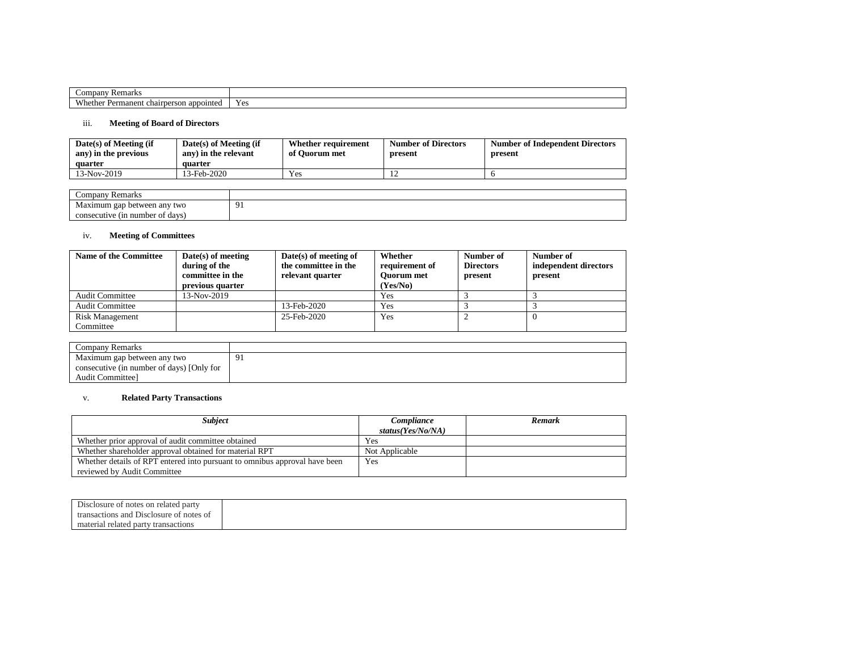| $_{\rm comr}$<br>$\sim$ and<br>pan<br>∵ emars                     |     |
|-------------------------------------------------------------------|-----|
| N/h<br>manent<br>appointe<br>$\sqrt{2}$<br>rhe.<br>'son<br>аh<br> | Yes |

## iii. **Meeting of Board of Directors**

| $Date(s)$ of Meeting (if<br>any) in the previous<br>quarter | $Date(s)$ of Meeting (if<br>any) in the relevant<br>quarter | Whether requirement<br>of Ouorum met | <b>Number of Directors</b><br>present | <b>Number of Independent Directors</b><br>present |
|-------------------------------------------------------------|-------------------------------------------------------------|--------------------------------------|---------------------------------------|---------------------------------------------------|
| 13-Nov-2019                                                 | 3-Feb-2020                                                  | Yes                                  |                                       |                                                   |

| `omnany<br>Remarks<br>Compai                |          |
|---------------------------------------------|----------|
| Maximum gap<br>between any two<br>$\circ$   | $\Omega$ |
| n number of davs<br>(1n<br>ecutive<br>conse |          |

## iv. **Meeting of Committees**

| <b>Name of the Committee</b> | $Date(s)$ of meeting<br>during of the<br>committee in the<br>previous quarter | $Date(s)$ of meeting of<br>the committee in the<br>relevant quarter | Whether<br>requirement of<br><b>Ouorum</b> met<br>(Yes/No) | Number of<br><b>Directors</b><br>present | Number of<br>independent directors<br>present |
|------------------------------|-------------------------------------------------------------------------------|---------------------------------------------------------------------|------------------------------------------------------------|------------------------------------------|-----------------------------------------------|
| <b>Audit Committee</b>       | 13-Nov-2019                                                                   |                                                                     | Yes                                                        |                                          |                                               |
| <b>Audit Committee</b>       |                                                                               | 13-Feb-2020                                                         | Yes                                                        |                                          |                                               |
| Risk Management              |                                                                               | 25-Feb-2020                                                         | Yes                                                        |                                          |                                               |
| Committee                    |                                                                               |                                                                     |                                                            |                                          |                                               |

| Company Remarks                           |   |
|-------------------------------------------|---|
| Maximum gap between any two               | Q |
| consecutive (in number of days) [Only for |   |
| Audit Committee]                          |   |

# v. **Related Party Transactions**

| <b>Subject</b>                                                             | Compliance        | Remark |
|----------------------------------------------------------------------------|-------------------|--------|
|                                                                            | status(Yes/No/NA) |        |
| Whether prior approval of audit committee obtained                         | Yes               |        |
| Whether shareholder approval obtained for material RPT                     | Not Applicable    |        |
| Whether details of RPT entered into pursuant to omnibus approval have been | Yes               |        |
| reviewed by Audit Committee                                                |                   |        |

| $\sim$ 1<br>f notes on related party<br>elosure of .    |
|---------------------------------------------------------|
| , and<br>notes of<br>transactions<br>closure<br>1 J1 St |
| material<br>related part<br>transactions                |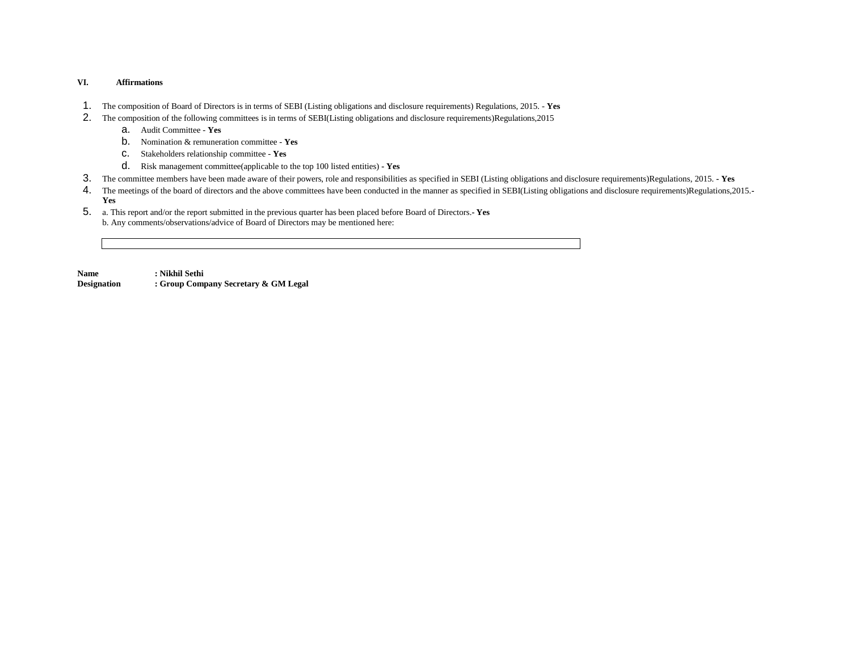### **VI. Affirmations**

- 1. The composition of Board of Directors is in terms of SEBI (Listing obligations and disclosure requirements) Regulations, 2015. **Yes**
- 2. The composition of the following committees is in terms of SEBI(Listing obligations and disclosure requirements)Regulations,2015
	- a. Audit Committee **Yes**
	- b. Nomination & remuneration committee **Yes**
	- c. Stakeholders relationship committee **Yes**
	- d. Risk management committee(applicable to the top 100 listed entities) **- Yes**
- 3. The committee members have been made aware of their powers, role and responsibilities as specified in SEBI (Listing obligations and disclosure requirements)Regulations, 2015. **- Yes**
- 4. The meetings of the board of directors and the above committees have been conducted in the manner as specified in SEBI(Listing obligations and disclosure requirements)Regulations,2015.**- Yes**
- 5. a. This report and/or the report submitted in the previous quarter has been placed before Board of Directors.**- Yes** b. Any comments/observations/advice of Board of Directors may be mentioned here:

**Name : Nikhil Sethi**

**Designation : Group Company Secretary & GM Legal**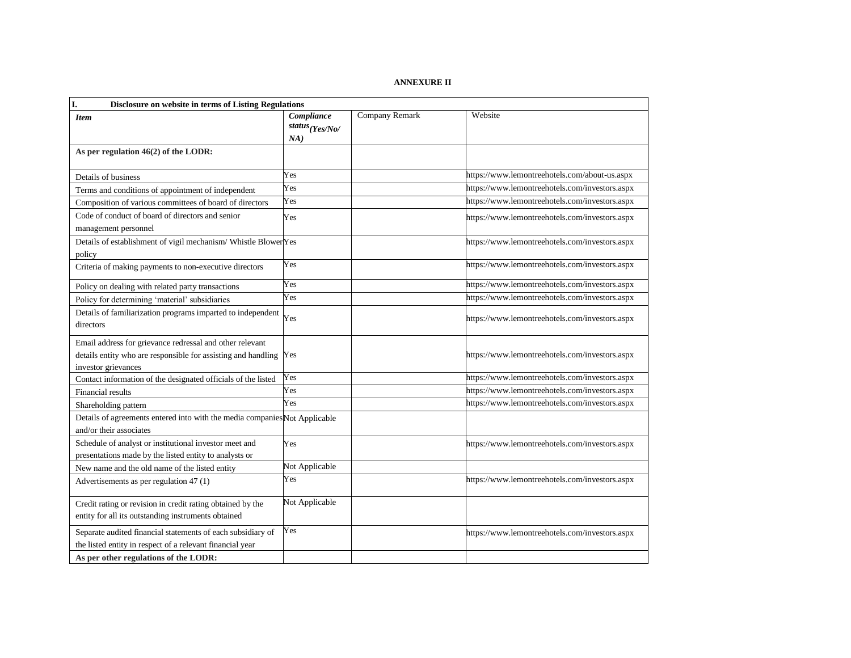## **ANNEXURE II**

| I.<br>Disclosure on website in terms of Listing Regulations                                                                                          |                                                 |                       |                                                |  |
|------------------------------------------------------------------------------------------------------------------------------------------------------|-------------------------------------------------|-----------------------|------------------------------------------------|--|
| <b>Item</b>                                                                                                                                          | Compliance<br>status <sub>(Yes/No/</sub><br>NA) | <b>Company Remark</b> | Website                                        |  |
| As per regulation 46(2) of the LODR:                                                                                                                 |                                                 |                       |                                                |  |
| Details of business                                                                                                                                  | Yes                                             |                       | https://www.lemontreehotels.com/about-us.aspx  |  |
| Terms and conditions of appointment of independent                                                                                                   | Yes                                             |                       | https://www.lemontreehotels.com/investors.aspx |  |
| Composition of various committees of board of directors                                                                                              | Yes                                             |                       | https://www.lemontreehotels.com/investors.aspx |  |
| Code of conduct of board of directors and senior<br>management personnel                                                                             | Yes                                             |                       | https://www.lemontreehotels.com/investors.aspx |  |
| Details of establishment of vigil mechanism/ Whistle BlowerYes<br>policy                                                                             |                                                 |                       | https://www.lemontreehotels.com/investors.aspx |  |
| Criteria of making payments to non-executive directors                                                                                               | Yes                                             |                       | https://www.lemontreehotels.com/investors.aspx |  |
| Policy on dealing with related party transactions                                                                                                    | Yes                                             |                       | https://www.lemontreehotels.com/investors.aspx |  |
| Policy for determining 'material' subsidiaries                                                                                                       | Yes                                             |                       | https://www.lemontreehotels.com/investors.aspx |  |
| Details of familiarization programs imparted to independent<br>directors                                                                             | Yes                                             |                       | https://www.lemontreehotels.com/investors.aspx |  |
| Email address for grievance redressal and other relevant<br>details entity who are responsible for assisting and handling Yes<br>investor grievances |                                                 |                       | https://www.lemontreehotels.com/investors.aspx |  |
| Contact information of the designated officials of the listed                                                                                        | Yes                                             |                       | https://www.lemontreehotels.com/investors.aspx |  |
| Financial results                                                                                                                                    | Yes                                             |                       | https://www.lemontreehotels.com/investors.aspx |  |
| Shareholding pattern                                                                                                                                 | Yes                                             |                       | https://www.lemontreehotels.com/investors.aspx |  |
| Details of agreements entered into with the media companies Not Applicable<br>and/or their associates                                                |                                                 |                       |                                                |  |
| Schedule of analyst or institutional investor meet and<br>presentations made by the listed entity to analysts or                                     | Yes                                             |                       | https://www.lemontreehotels.com/investors.aspx |  |
| New name and the old name of the listed entity                                                                                                       | Not Applicable                                  |                       |                                                |  |
| Advertisements as per regulation 47 (1)                                                                                                              | Yes                                             |                       | https://www.lemontreehotels.com/investors.aspx |  |
| Credit rating or revision in credit rating obtained by the<br>entity for all its outstanding instruments obtained                                    | Not Applicable                                  |                       |                                                |  |
| Separate audited financial statements of each subsidiary of<br>the listed entity in respect of a relevant financial year                             | Yes                                             |                       | https://www.lemontreehotels.com/investors.aspx |  |
| As per other regulations of the LODR:                                                                                                                |                                                 |                       |                                                |  |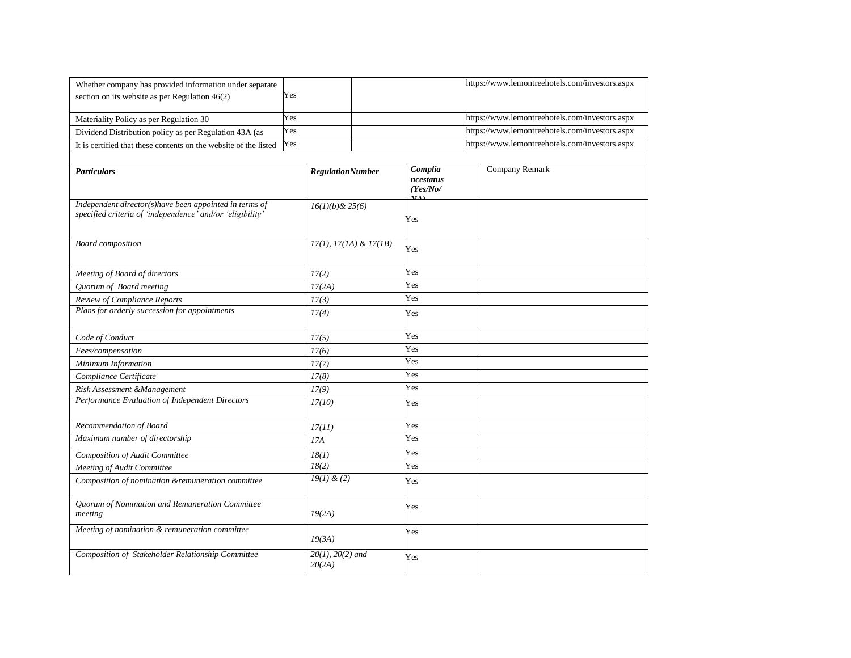| Whether company has provided information under separate                                                             |     |                                 |  |                                  | https://www.lemontreehotels.com/investors.aspx |
|---------------------------------------------------------------------------------------------------------------------|-----|---------------------------------|--|----------------------------------|------------------------------------------------|
| section on its website as per Regulation $46(2)$                                                                    | Yes |                                 |  |                                  |                                                |
|                                                                                                                     |     |                                 |  |                                  |                                                |
| Materiality Policy as per Regulation 30                                                                             | Yes |                                 |  |                                  | https://www.lemontreehotels.com/investors.aspx |
| Dividend Distribution policy as per Regulation 43A (as                                                              | Yes |                                 |  |                                  | https://www.lemontreehotels.com/investors.aspx |
| It is certified that these contents on the website of the listed                                                    | Yes |                                 |  |                                  | https://www.lemontreehotels.com/investors.aspx |
|                                                                                                                     |     |                                 |  |                                  |                                                |
| <b>Particulars</b>                                                                                                  |     | <b>RegulationNumber</b>         |  | Complia<br>ncestatus<br>(Yes/No/ | Company Remark                                 |
| Independent director(s)have been appointed in terms of<br>specified criteria of 'independence' and/or 'eligibility' |     | $16(1)(b)$ & 25(6)              |  | Yes                              |                                                |
| <b>Board</b> composition                                                                                            |     | $17(1), 17(1A) \& 17(1B)$       |  | Yes                              |                                                |
| Meeting of Board of directors                                                                                       |     | 17(2)                           |  | Yes                              |                                                |
| Quorum of Board meeting                                                                                             |     | 17(2A)                          |  | Yes                              |                                                |
| Review of Compliance Reports                                                                                        |     | 17(3)                           |  | Yes                              |                                                |
| Plans for orderly succession for appointments                                                                       |     | 17(4)                           |  | Yes                              |                                                |
| Code of Conduct                                                                                                     |     | 17(5)                           |  | Yes                              |                                                |
| Fees/compensation                                                                                                   |     | 17(6)                           |  | Yes                              |                                                |
| Minimum Information                                                                                                 |     | 17(7)                           |  | Yes                              |                                                |
| Compliance Certificate                                                                                              |     | 17(8)                           |  | Yes                              |                                                |
| Risk Assessment &Management                                                                                         |     | 17(9)                           |  | Yes                              |                                                |
| Performance Evaluation of Independent Directors                                                                     |     | 17(10)                          |  | Yes                              |                                                |
| Recommendation of Board                                                                                             |     | 17(11)                          |  | Yes                              |                                                |
| Maximum number of directorship                                                                                      |     | 17A                             |  | Yes                              |                                                |
| Composition of Audit Committee                                                                                      |     | 18(1)                           |  | Yes                              |                                                |
| Meeting of Audit Committee                                                                                          |     | 18(2)                           |  | Yes                              |                                                |
| Composition of nomination &remuneration committee                                                                   |     | $19(1)$ & (2)                   |  | Yes                              |                                                |
| Quorum of Nomination and Remuneration Committee<br>meeting                                                          |     | 19(2A)                          |  | Yes                              |                                                |
| Meeting of nomination & remuneration committee                                                                      |     | 19(3A)                          |  | Yes                              |                                                |
| Composition of Stakeholder Relationship Committee                                                                   |     | $20(1)$ , $20(2)$ and<br>20(2A) |  | Yes                              |                                                |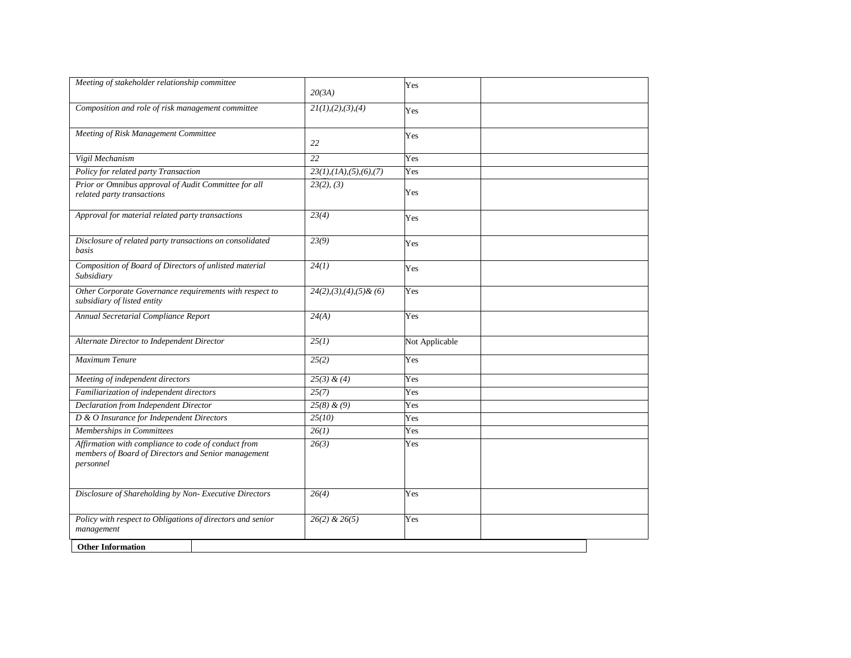| Meeting of stakeholder relationship committee                                                                           | 20(3A)                       | Yes            |  |
|-------------------------------------------------------------------------------------------------------------------------|------------------------------|----------------|--|
| Composition and role of risk management committee                                                                       | 21(1), (2), (3), (4)         | Yes            |  |
| Meeting of Risk Management Committee                                                                                    | 22                           | Yes            |  |
| Vigil Mechanism                                                                                                         | 22                           | Yes            |  |
| Policy for related party Transaction                                                                                    | 23(1), (1A), (5), (6), (7)   | Yes            |  |
| Prior or Omnibus approval of Audit Committee for all<br>related party transactions                                      | 23(2), (3)                   | Yes            |  |
| Approval for material related party transactions                                                                        | 23(4)                        | Yes            |  |
| Disclosure of related party transactions on consolidated<br>basis                                                       | 23(9)                        | Yes            |  |
| Composition of Board of Directors of unlisted material<br>Subsidiary                                                    | 24(1)                        | Yes            |  |
| Other Corporate Governance requirements with respect to<br>subsidiary of listed entity                                  | $24(2), (3), (4), (5)$ & (6) | Yes            |  |
| Annual Secretarial Compliance Report                                                                                    | 24(A)                        | Yes            |  |
| Alternate Director to Independent Director                                                                              | 25(1)                        | Not Applicable |  |
| <b>Maximum Tenure</b>                                                                                                   | 25(2)                        | Yes            |  |
| Meeting of independent directors                                                                                        | $25(3)$ & (4)                | Yes            |  |
| Familiarization of independent directors                                                                                | 25(7)                        | Yes            |  |
| <b>Declaration from Independent Director</b>                                                                            | $25(8)$ & (9)                | Yes            |  |
| D & O Insurance for Independent Directors                                                                               | 25(10)                       | Yes            |  |
| Memberships in Committees                                                                                               | 26(1)                        | Yes            |  |
| Affirmation with compliance to code of conduct from<br>members of Board of Directors and Senior management<br>personnel | 26(3)                        | Yes            |  |
| Disclosure of Shareholding by Non- Executive Directors                                                                  | 26(4)                        | Yes            |  |
| Policy with respect to Obligations of directors and senior<br>management                                                | $26(2)$ & $26(5)$            | Yes            |  |
| <b>Other Information</b>                                                                                                |                              |                |  |